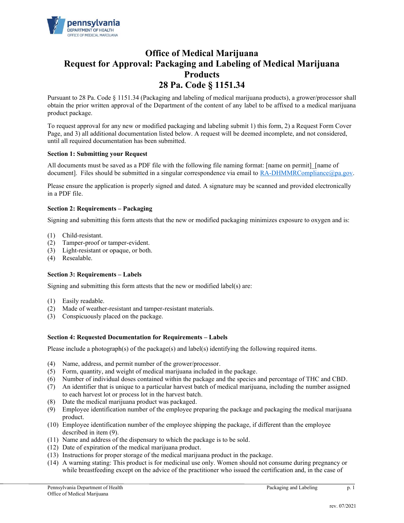

# **Office of Medical Marijuana Request for Approval: Packaging and Labeling of Medical Marijuana Products 28 Pa. Code § 1151.34**

Pursuant to 28 Pa. Code § 1151.34 (Packaging and labeling of medical marijuana products), a grower/processor shall obtain the prior written approval of the Department of the content of any label to be affixed to a medical marijuana product package.

To request approval for any new or modified packaging and labeling submit 1) this form, 2) a Request Form Cover Page, and 3) all additional documentation listed below. A request will be deemed incomplete, and not considered, until all required documentation has been submitted.

## **Section 1: Submitting your Request**

All documents must be saved as a PDF file with the following file naming format: [name on permit] [name of document]. Files should be submitted in a singular correspondence via email to RA-DHMMRCompliance@pa.gov.

Please ensure the application is properly signed and dated. A signature may be scanned and provided electronically in a PDF file.

## **Section 2: Requirements – Packaging**

Signing and submitting this form attests that the new or modified packaging minimizes exposure to oxygen and is:

- (1) Child-resistant.
- (2) Tamper-proof or tamper-evident.
- (3) Light-resistant or opaque, or both.
- (4) Resealable.

## **Section 3: Requirements – Labels**

Signing and submitting this form attests that the new or modified label(s) are:

- (1) Easily readable.
- (2) Made of weather-resistant and tamper-resistant materials.
- (3) Conspicuously placed on the package.

## **Section 4: Requested Documentation for Requirements – Labels**

Please include a photograph(s) of the package(s) and label(s) identifying the following required items.

- (4) Name, address, and permit number of the grower/processor.
- (5) Form, quantity, and weight of medical marijuana included in the package.
- (6) Number of individual doses contained within the package and the species and percentage of THC and CBD.
- (7) An identifier that is unique to a particular harvest batch of medical marijuana, including the number assigned to each harvest lot or process lot in the harvest batch.
- (8) Date the medical marijuana product was packaged.
- (9) Employee identification number of the employee preparing the package and packaging the medical marijuana product.
- (10) Employee identification number of the employee shipping the package, if different than the employee described in item (9).
- (11) Name and address of the dispensary to which the package is to be sold.
- (12) Date of expiration of the medical marijuana product.
- (13) Instructions for proper storage of the medical marijuana product in the package.
- (14) A warning stating: This product is for medicinal use only. Women should not consume during pregnancy or while breastfeeding except on the advice of the practitioner who issued the certification and, in the case of